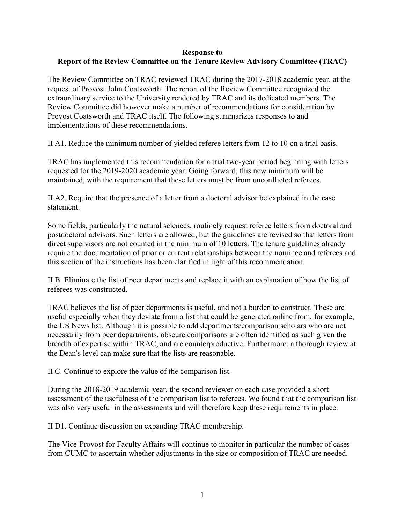## **Response to Report of the Review Committee on the Tenure Review Advisory Committee (TRAC)**

The Review Committee on TRAC reviewed TRAC during the 2017-2018 academic year, at the request of Provost John Coatsworth. The report of the Review Committee recognized the extraordinary service to the University rendered by TRAC and its dedicated members. The Review Committee did however make a number of recommendations for consideration by Provost Coatsworth and TRAC itself. The following summarizes responses to and implementations of these recommendations.

II A1. Reduce the minimum number of yielded referee letters from 12 to 10 on a trial basis.

TRAC has implemented this recommendation for a trial two-year period beginning with letters requested for the 2019-2020 academic year. Going forward, this new minimum will be maintained, with the requirement that these letters must be from unconflicted referees.

II A2. Require that the presence of a letter from a doctoral advisor be explained in the case statement.

Some fields, particularly the natural sciences, routinely request referee letters from doctoral and postdoctoral advisors. Such letters are allowed, but the guidelines are revised so that letters from direct supervisors are not counted in the minimum of 10 letters. The tenure guidelines already require the documentation of prior or current relationships between the nominee and referees and this section of the instructions has been clarified in light of this recommendation.

II B. Eliminate the list of peer departments and replace it with an explanation of how the list of referees was constructed.

TRAC believes the list of peer departments is useful, and not a burden to construct. These are useful especially when they deviate from a list that could be generated online from, for example, the US News list. Although it is possible to add departments/comparison scholars who are not necessarily from peer departments, obscure comparisons are often identified as such given the breadth of expertise within TRAC, and are counterproductive. Furthermore, a thorough review at the Dean's level can make sure that the lists are reasonable.

II C. Continue to explore the value of the comparison list.

During the 2018-2019 academic year, the second reviewer on each case provided a short assessment of the usefulness of the comparison list to referees. We found that the comparison list was also very useful in the assessments and will therefore keep these requirements in place.

II D1. Continue discussion on expanding TRAC membership.

The Vice-Provost for Faculty Affairs will continue to monitor in particular the number of cases from CUMC to ascertain whether adjustments in the size or composition of TRAC are needed.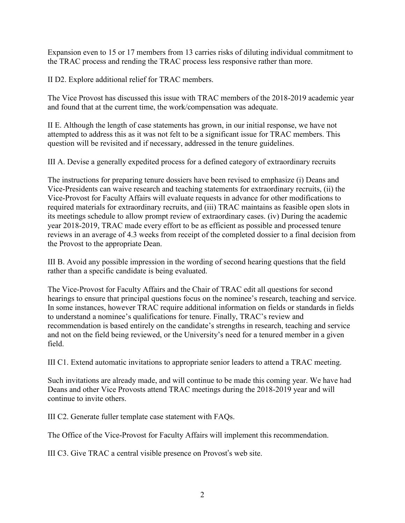Expansion even to 15 or 17 members from 13 carries risks of diluting individual commitment to the TRAC process and rending the TRAC process less responsive rather than more.

II D2. Explore additional relief for TRAC members.

The Vice Provost has discussed this issue with TRAC members of the 2018-2019 academic year and found that at the current time, the work/compensation was adequate.

II E. Although the length of case statements has grown, in our initial response, we have not attempted to address this as it was not felt to be a significant issue for TRAC members. This question will be revisited and if necessary, addressed in the tenure guidelines.

III A. Devise a generally expedited process for a defined category of extraordinary recruits

The instructions for preparing tenure dossiers have been revised to emphasize (i) Deans and Vice-Presidents can waive research and teaching statements for extraordinary recruits, (ii) the Vice-Provost for Faculty Affairs will evaluate requests in advance for other modifications to required materials for extraordinary recruits, and (iii) TRAC maintains as feasible open slots in its meetings schedule to allow prompt review of extraordinary cases. (iv) During the academic year 2018-2019, TRAC made every effort to be as efficient as possible and processed tenure reviews in an average of 4.3 weeks from receipt of the completed dossier to a final decision from the Provost to the appropriate Dean.

III B. Avoid any possible impression in the wording of second hearing questions that the field rather than a specific candidate is being evaluated.

The Vice-Provost for Faculty Affairs and the Chair of TRAC edit all questions for second hearings to ensure that principal questions focus on the nominee's research, teaching and service. In some instances, however TRAC require additional information on fields or standards in fields to understand a nominee's qualifications for tenure. Finally, TRAC's review and recommendation is based entirely on the candidate's strengths in research, teaching and service and not on the field being reviewed, or the University's need for a tenured member in a given field.

III C1. Extend automatic invitations to appropriate senior leaders to attend a TRAC meeting.

Such invitations are already made, and will continue to be made this coming year. We have had Deans and other Vice Provosts attend TRAC meetings during the 2018-2019 year and will continue to invite others.

III C2. Generate fuller template case statement with FAQs.

The Office of the Vice-Provost for Faculty Affairs will implement this recommendation.

III C3. Give TRAC a central visible presence on Provost's web site.